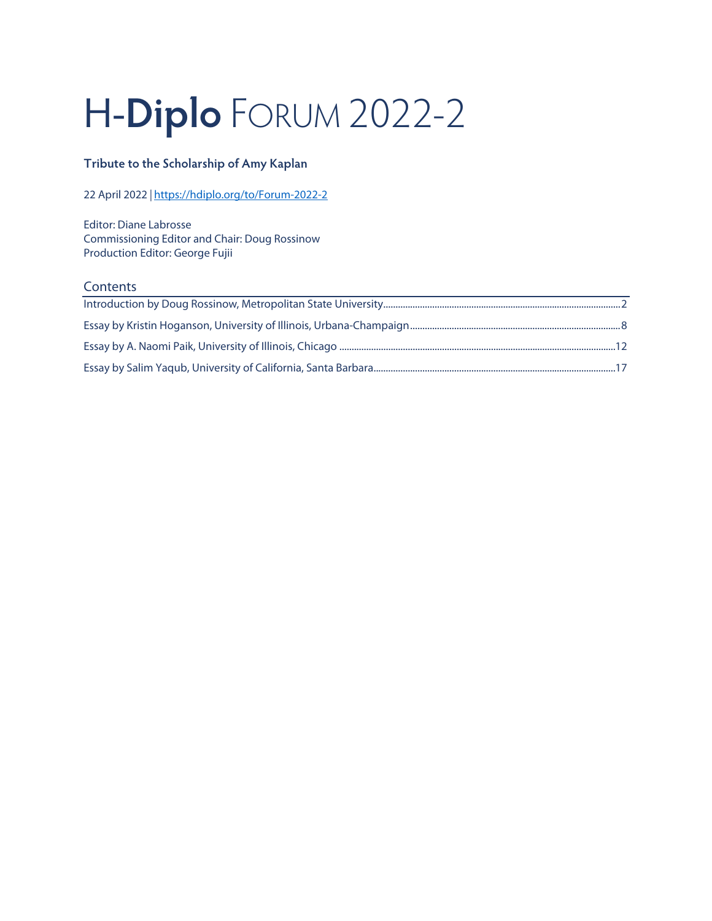# H-**Diplo** FORUM 2022-2

# **Tribute to the Scholarship of Amy Kaplan**

22 April 2022 *|* <https://hdiplo.org/to/Forum-2022-2>

Editor: Diane Labrosse Commissioning Editor and Chair: Doug Rossinow Production Editor: George Fujii

### **Contents**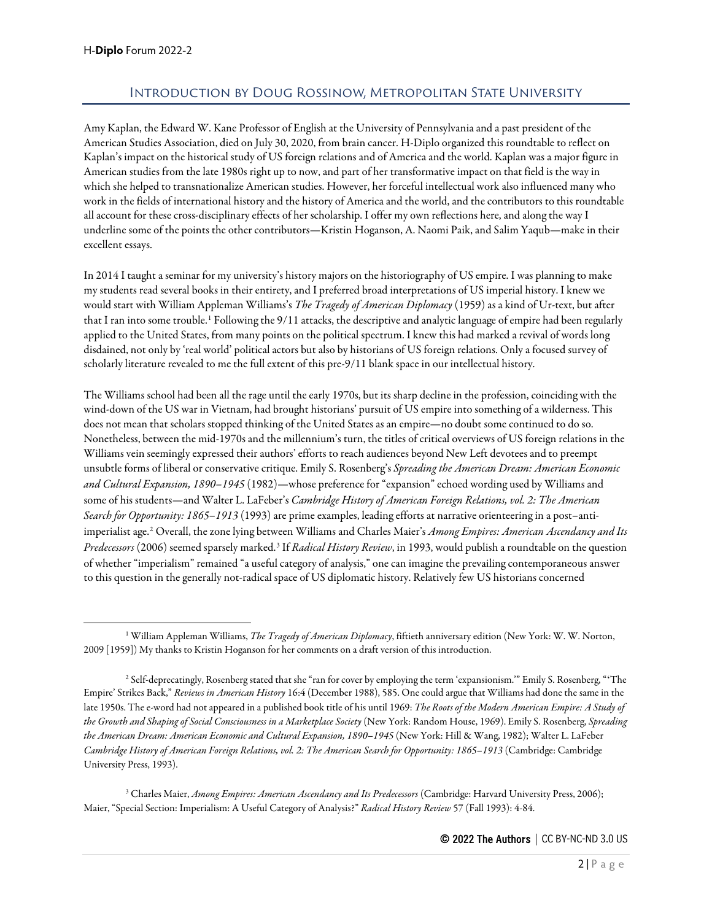## Introduction by Doug Rossinow, Metropolitan State University

<span id="page-1-0"></span>Amy Kaplan, the Edward W. Kane Professor of English at the University of Pennsylvania and a past president of the American Studies Association, died on July 30, 2020, from brain cancer. H-Diplo organized this roundtable to reflect on Kaplan's impact on the historical study of US foreign relations and of America and the world. Kaplan was a major figure in American studies from the late 1980s right up to now, and part of her transformative impact on that field is the way in which she helped to transnationalize American studies. However, her forceful intellectual work also influenced many who work in the fields of international history and the history of America and the world, and the contributors to this roundtable all account for these cross-disciplinary effects of her scholarship. I offer my own reflections here, and along the way I underline some of the points the other contributors—Kristin Hoganson, A. Naomi Paik, and Salim Yaqub—make in their excellent essays.

In 2014 I taught a seminar for my university's history majors on the historiography of US empire. I was planning to make my students read several books in their entirety, and I preferred broad interpretations of US imperial history. I knew we would start with William Appleman Williams's *The Tragedy of American Diplomacy* (1959) as a kind of Ur-text, but after that I ran into some trouble.<sup>[1](#page-1-1)</sup> Following the 9/11 attacks, the descriptive and analytic language of empire had been regularly applied to the United States, from many points on the political spectrum. I knew this had marked a revival of words long disdained, not only by 'real world' political actors but also by historians of US foreign relations. Only a focused survey of scholarly literature revealed to me the full extent of this pre-9/11 blank space in our intellectual history.

The Williams school had been all the rage until the early 1970s, but its sharp decline in the profession, coinciding with the wind-down of the US war in Vietnam, had brought historians' pursuit of US empire into something of a wilderness. This does not mean that scholars stopped thinking of the United States as an empire—no doubt some continued to do so. Nonetheless, between the mid-1970s and the millennium's turn, the titles of critical overviews of US foreign relations in the Williams vein seemingly expressed their authors' efforts to reach audiences beyond New Left devotees and to preempt unsubtle forms of liberal or conservative critique. Emily S. Rosenberg's *Spreading the American Dream: American Economic and Cultural Expansion, 1890–1945* (1982)—whose preference for "expansion" echoed wording used by Williams and some of his students—and Walter L. LaFeber's *Cambridge History of American Foreign Relations, vol. 2: The American Search for Opportunity: 1865–1913* (1993) are prime examples, leading efforts at narrative orienteering in a post–antiimperialist age.[2](#page-1-2) Overall, the zone lying between Williams and Charles Maier's *Among Empires: American Ascendancy and Its Predecessors* (2006) seemed sparsely marked.[3](#page-1-3) If *Radical History Review*, in 1993, would publish a roundtable on the question of whether "imperialism" remained "a useful category of analysis," one can imagine the prevailing contemporaneous answer to this question in the generally not-radical space of US diplomatic history. Relatively few US historians concerned

<span id="page-1-3"></span><sup>3</sup> Charles Maier, *Among Empires: American Ascendancy and Its Predecessors* (Cambridge: Harvard University Press, 2006); Maier, "Special Section: Imperialism: A Useful Category of Analysis?" *Radical History Review* 57 (Fall 1993): 4-84.

<span id="page-1-1"></span><sup>1</sup> William Appleman Williams, *The Tragedy of American Diplomacy*, fiftieth anniversary edition (New York: W. W. Norton, 2009 [1959]) My thanks to Kristin Hoganson for her comments on a draft version of this introduction.

<span id="page-1-2"></span><sup>2</sup> Self-deprecatingly, Rosenberg stated that she "ran for cover by employing the term 'expansionism.'" Emily S. Rosenberg, "ʻThe Empire' Strikes Back," *Reviews in American History* 16:4 (December 1988), 585. One could argue that Williams had done the same in the late 1950s. The e-word had not appeared in a published book title of his until 1969: *The Roots of the Modern American Empire: A Study of the Growth and Shaping of Social Consciousness in a Marketplace Society* (New York: Random House, 1969). Emily S. Rosenberg, *Spreading the American Dream: American Economic and Cultural Expansion, 1890–1945* (New York: Hill & Wang, 1982); Walter L. LaFeber *Cambridge History of American Foreign Relations, vol. 2: The American Search for Opportunity: 1865–1913* (Cambridge: Cambridge University Press, 1993).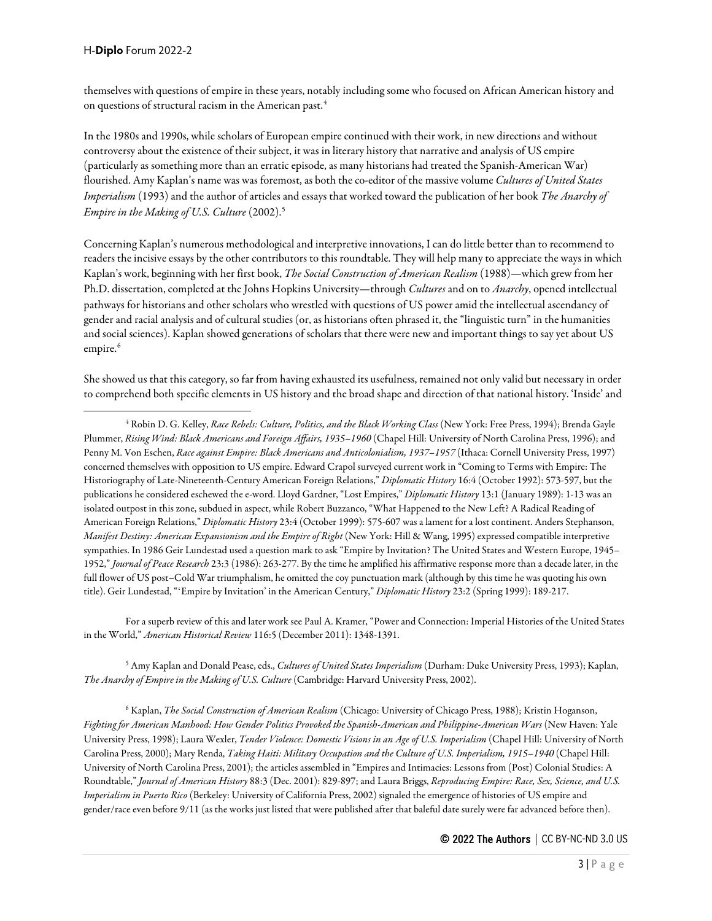themselves with questions of empire in these years, notably including some who focused on African American history and on questions of structural racism in the American past.<sup>[4](#page-2-0)</sup>

In the 1980s and 1990s, while scholars of European empire continued with their work, in new directions and without controversy about the existence of their subject, it was in literary history that narrative and analysis of US empire (particularly as something more than an erratic episode, as many historians had treated the Spanish-American War) flourished. Amy Kaplan's name was was foremost, as both the co-editor of the massive volume *Cultures of United States Imperialism* (1993) and the author of articles and essays that worked toward the publication of her book *The Anarchy of Empire in the Making of U.S. Culture* (2002).[5](#page-2-1)

Concerning Kaplan's numerous methodological and interpretive innovations, I can do little better than to recommend to readers the incisive essays by the other contributors to this roundtable. They will help many to appreciate the ways in which Kaplan's work, beginning with her first book, *The Social Construction of American Realism* (1988)—which grew from her Ph.D. dissertation, completed at the Johns Hopkins University—through *Cultures* and on to *Anarchy*, opened intellectual pathways for historians and other scholars who wrestled with questions of US power amid the intellectual ascendancy of gender and racial analysis and of cultural studies (or, as historians often phrased it, the "linguistic turn" in the humanities and social sciences). Kaplan showed generations of scholars that there were new and important things to say yet about US empire.<sup>[6](#page-2-2)</sup>

She showed us that this category, so far from having exhausted its usefulness, remained not only valid but necessary in order to comprehend both specific elements in US history and the broad shape and direction of that national history. 'Inside' and

For a superb review of this and later work see Paul A. Kramer, "Power and Connection: Imperial Histories of the United States in the World," *American Historical Review* 116:5 (December 2011): 1348-1391.

<span id="page-2-1"></span><sup>5</sup> Amy Kaplan and Donald Pease, eds., *Cultures of United States Imperialism* (Durham: Duke University Press, 1993); Kaplan, *The Anarchy of Empire in the Making of U.S. Culture* (Cambridge: Harvard University Press, 2002).

<span id="page-2-2"></span><sup>6</sup> Kaplan, *The Social Construction of American Realism* (Chicago: University of Chicago Press, 1988); Kristin Hoganson, *Fighting for American Manhood: How Gender Politics Provoked the Spanish-American and Philippine-American Wars* (New Haven: Yale University Press, 1998); Laura Wexler, *Tender Violence: Domestic Visions in an Age of U.S. Imperialism* (Chapel Hill: University of North Carolina Press, 2000); Mary Renda, *Taking Haiti: Military Occupation and the Culture of U.S. Imperialism, 1915–1940* (Chapel Hill: University of North Carolina Press, 2001); the articles assembled in "Empires and Intimacies: Lessons from (Post) Colonial Studies: A Roundtable," *Journal of American History* 88:3 (Dec. 2001): 829-897; and Laura Briggs, *Reproducing Empire: Race, Sex, Science, and U.S. Imperialism in Puerto Rico* (Berkeley: University of California Press, 2002) signaled the emergence of histories of US empire and gender/race even before 9/11 (as the works just listed that were published after that baleful date surely were far advanced before then).

<span id="page-2-0"></span><sup>4</sup> Robin D. G. Kelley, *Race Rebels: Culture, Politics, and the Black Working Class* (New York: Free Press, 1994); Brenda Gayle Plummer, *Rising Wind: Black Americans and Foreign Affairs, 1935–1960* (Chapel Hill: University of North Carolina Press, 1996); and Penny M. Von Eschen, *Race against Empire: Black Americans and Anticolonialism, 1937–1957* (Ithaca: Cornell University Press, 1997) concerned themselves with opposition to US empire. Edward Crapol surveyed current work in "Coming to Terms with Empire: The Historiography of Late-Nineteenth-Century American Foreign Relations," *Diplomatic History* 16:4 (October 1992): 573-597, but the publications he considered eschewed the e-word. Lloyd Gardner, "Lost Empires," *Diplomatic History* 13:1 (January 1989): 1-13 was an isolated outpost in this zone, subdued in aspect, while Robert Buzzanco, "What Happened to the New Left? A Radical Reading of American Foreign Relations," *Diplomatic History* 23:4 (October 1999): 575-607 was a lament for a lost continent. Anders Stephanson, *Manifest Destiny: American Expansionism and the Empire of Right* (New York: Hill & Wang, 1995) expressed compatible interpretive sympathies. In 1986 Geir Lundestad used a question mark to ask "Empire by Invitation? The United States and Western Europe, 1945– 1952," *Journal of Peace Research* 23:3 (1986): 263-277. By the time he amplified his affirmative response more than a decade later, in the full flower of US post–Cold War triumphalism, he omitted the coy punctuation mark (although by this time he was quoting his own title). Geir Lundestad, "ʻEmpire by Invitation' in the American Century," *Diplomatic History* 23:2 (Spring 1999): 189-217.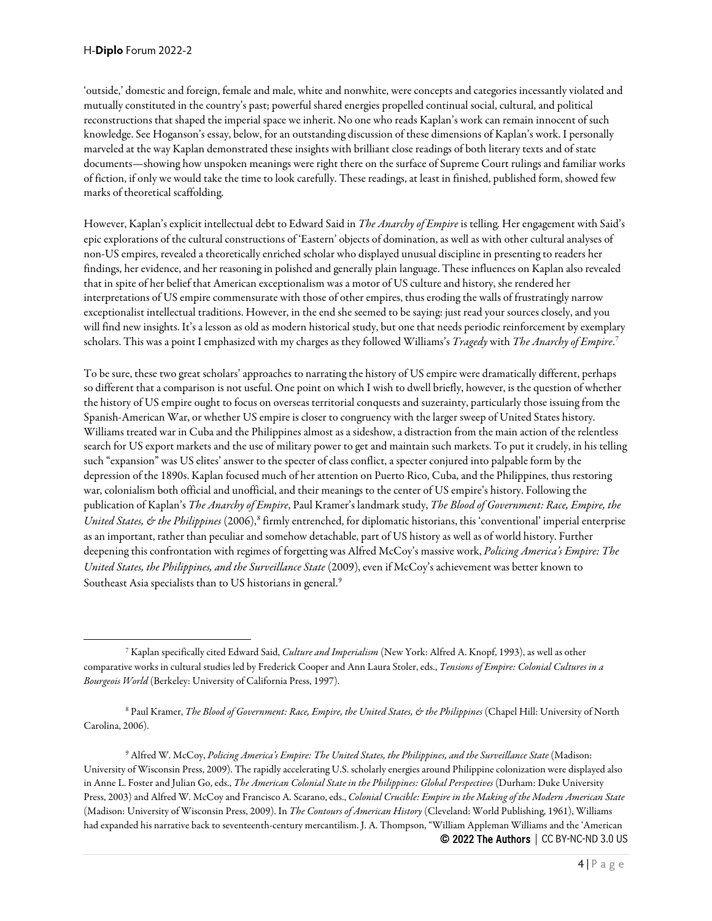'outside,' domestic and foreign, female and male, white and nonwhite, were concepts and categories incessantly violated and mutually constituted in the country's past; powerful shared energies propelled continual social, cultural, and political reconstructions that shaped the imperial space we inherit. No one who reads Kaplan's work can remain innocent of such knowledge. See Hoganson's essay, below, for an outstanding discussion of these dimensions of Kaplan's work. I personally marveled at the way Kaplan demonstrated these insights with brilliant close readings of both literary texts and of state documents—showing how unspoken meanings were right there on the surface of Supreme Court rulings and familiar works of fiction, if only we would take the time to look carefully. These readings, at least in finished, published form, showed few marks of theoretical scaffolding.

However, Kaplan's explicit intellectual debt to Edward Said in *The Anarchy of Empire* is telling. Her engagement with Said's epic explorations of the cultural constructions of 'Eastern' objects of domination, as well as with other cultural analyses of non-US empires, revealed a theoretically enriched scholar who displayed unusual discipline in presenting to readers her findings, her evidence, and her reasoning in polished and generally plain language. These influences on Kaplan also revealed that in spite of her belief that American exceptionalism was a motor of US culture and history, she rendered her interpretations of US empire commensurate with those of other empires, thus eroding the walls of frustratingly narrow exceptionalist intellectual traditions. However, in the end she seemed to be saying: just read your sources closely, and you will find new insights. It's a lesson as old as modern historical study, but one that needs periodic reinforcement by exemplary scholars. This was a point I emphasized with my charges as they followed Williams's *Tragedy* with *The Anarchy of Empire*. [7](#page-3-0)

To be sure, these two great scholars' approaches to narrating the history of US empire were dramatically different, perhaps so different that a comparison is not useful. One point on which I wish to dwell briefly, however, is the question of whether the history of US empire ought to focus on overseas territorial conquests and suzerainty, particularly those issuing from the Spanish-American War, or whether US empire is closer to congruency with the larger sweep of United States history. Williams treated war in Cuba and the Philippines almost as a sideshow, a distraction from the main action of the relentless search for US export markets and the use of military power to get and maintain such markets. To put it crudely, in his telling such "expansion" was US elites' answer to the specter of class conflict, a specter conjured into palpable form by the depression of the 1890s. Kaplan focused much of her attention on Puerto Rico, Cuba, and the Philippines, thus restoring war, colonialism both official and unofficial, and their meanings to the center of US empire's history. Following the publication of Kaplan's *The Anarchy of Empire*, Paul Kramer's landmark study, *The Blood of Government: Race, Empire, the United States, & the Philippines* (2006),<sup>[8](#page-3-1)</sup> firmly entrenched, for diplomatic historians, this 'conventional' imperial enterprise as an important, rather than peculiar and somehow detachable, part of US history as well as of world history. Further deepening this confrontation with regimes of forgetting was Alfred McCoy's massive work, *Policing America's Empire: The United States, the Philippines, and the Surveillance State* (2009), even if McCoy's achievement was better known to Southeast Asia specialists than to US historians in general.<sup>[9](#page-3-2)</sup>

<span id="page-3-1"></span><sup>8</sup> Paul Kramer, *The Blood of Government: Race, Empire, the United States, & the Philippines* (Chapel Hill: University of North Carolina, 2006).

<span id="page-3-2"></span>© 2022 The Authors | CC BY-NC-ND 3.0 US <sup>9</sup> Alfred W. McCoy, *Policing America's Empire: The United States, the Philippines, and the Surveillance State* (Madison: University of Wisconsin Press, 2009). The rapidly accelerating U.S. scholarly energies around Philippine colonization were displayed also in Anne L. Foster and Julian Go, eds., *The American Colonial State in the Philippines: Global Perspectives* (Durham: Duke University Press, 2003) and Alfred W. McCoy and Francisco A. Scarano, eds., *Colonial Crucible: Empire in the Making of the Modern American State* (Madison: University of Wisconsin Press, 2009). In *The Contours of American History* (Cleveland: World Publishing, 1961), Williams had expanded his narrative back to seventeenth-century mercantilism. J. A. Thompson, "William Appleman Williams and the 'American

<span id="page-3-0"></span><sup>7</sup> Kaplan specifically cited Edward Said, *Culture and Imperialism* (New York: Alfred A. Knopf, 1993), as well as other comparative works in cultural studies led by Frederick Cooper and Ann Laura Stoler, eds., *Tensions of Empire: Colonial Cultures in a Bourgeois World* (Berkeley: University of California Press, 1997).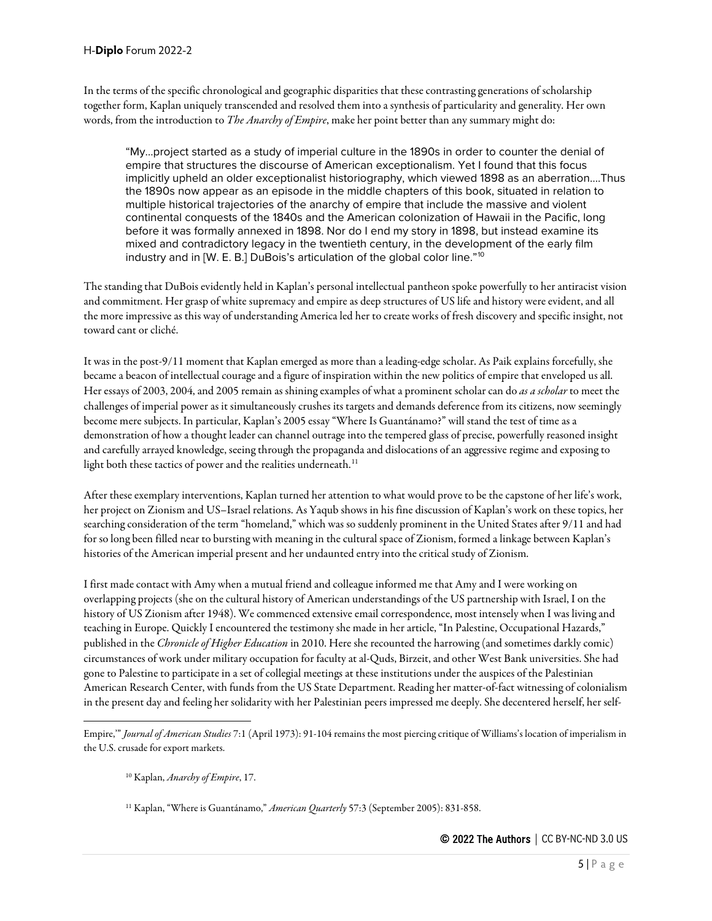In the terms of the specific chronological and geographic disparities that these contrasting generations of scholarship together form, Kaplan uniquely transcended and resolved them into a synthesis of particularity and generality. Her own words, from the introduction to *The Anarchy of Empire*, make her point better than any summary might do:

"My…project started as a study of imperial culture in the 1890s in order to counter the denial of empire that structures the discourse of American exceptionalism. Yet I found that this focus implicitly upheld an older exceptionalist historiography, which viewed 1898 as an aberration….Thus the 1890s now appear as an episode in the middle chapters of this book, situated in relation to multiple historical trajectories of the anarchy of empire that include the massive and violent continental conquests of the 1840s and the American colonization of Hawaii in the Pacific, long before it was formally annexed in 1898. Nor do I end my story in 1898, but instead examine its mixed and contradictory legacy in the twentieth century, in the development of the early film industry and in [W. E. B.] DuBois's articulation of the global color line."[10](#page-4-0)

The standing that DuBois evidently held in Kaplan's personal intellectual pantheon spoke powerfully to her antiracist vision and commitment. Her grasp of white supremacy and empire as deep structures of US life and history were evident, and all the more impressive as this way of understanding America led her to create works of fresh discovery and specific insight, not toward cant or cliché.

It was in the post-9/11 moment that Kaplan emerged as more than a leading-edge scholar. As Paik explains forcefully, she became a beacon of intellectual courage and a figure of inspiration within the new politics of empire that enveloped us all. Her essays of 2003, 2004, and 2005 remain as shining examples of what a prominent scholar can do *as a scholar* to meet the challenges of imperial power as it simultaneously crushes its targets and demands deference from its citizens, now seemingly become mere subjects. In particular, Kaplan's 2005 essay "Where Is Guantánamo?" will stand the test of time as a demonstration of how a thought leader can channel outrage into the tempered glass of precise, powerfully reasoned insight and carefully arrayed knowledge, seeing through the propaganda and dislocations of an aggressive regime and exposing to light both these tactics of power and the realities underneath.<sup>[11](#page-4-1)</sup>

After these exemplary interventions, Kaplan turned her attention to what would prove to be the capstone of her life's work, her project on Zionism and US–Israel relations. As Yaqub shows in his fine discussion of Kaplan's work on these topics, her searching consideration of the term "homeland," which was so suddenly prominent in the United States after 9/11 and had for so long been filled near to bursting with meaning in the cultural space of Zionism, formed a linkage between Kaplan's histories of the American imperial present and her undaunted entry into the critical study of Zionism.

I first made contact with Amy when a mutual friend and colleague informed me that Amy and I were working on overlapping projects (she on the cultural history of American understandings of the US partnership with Israel, I on the history of US Zionism after 1948). We commenced extensive email correspondence, most intensely when I was living and teaching in Europe. Quickly I encountered the testimony she made in her article, "In Palestine, Occupational Hazards," published in the *Chronicle of Higher Education* in 2010. Here she recounted the harrowing (and sometimes darkly comic) circumstances of work under military occupation for faculty at al-Quds, Birzeit,and other West Bank universities. She had gone to Palestine to participate in a set of collegial meetings at these institutions under the auspices of the Palestinian American Research Center, with funds from the US State Department. Reading her matter-of-fact witnessing of colonialism in the present day and feeling her solidarity with her Palestinian peers impressed me deeply. She decentered herself, her self-

<span id="page-4-1"></span><span id="page-4-0"></span>Empire,'" *Journal of American Studies* 7:1 (April 1973): 91-104 remains the most piercing critique of Williams's location of imperialism in the U.S. crusade for export markets.

<sup>10</sup> Kaplan, *Anarchy of Empire*, 17.

<sup>&</sup>lt;sup>11</sup> Kaplan, "Where is Guantánamo," American Quarterly 57:3 (September 2005): 831-858.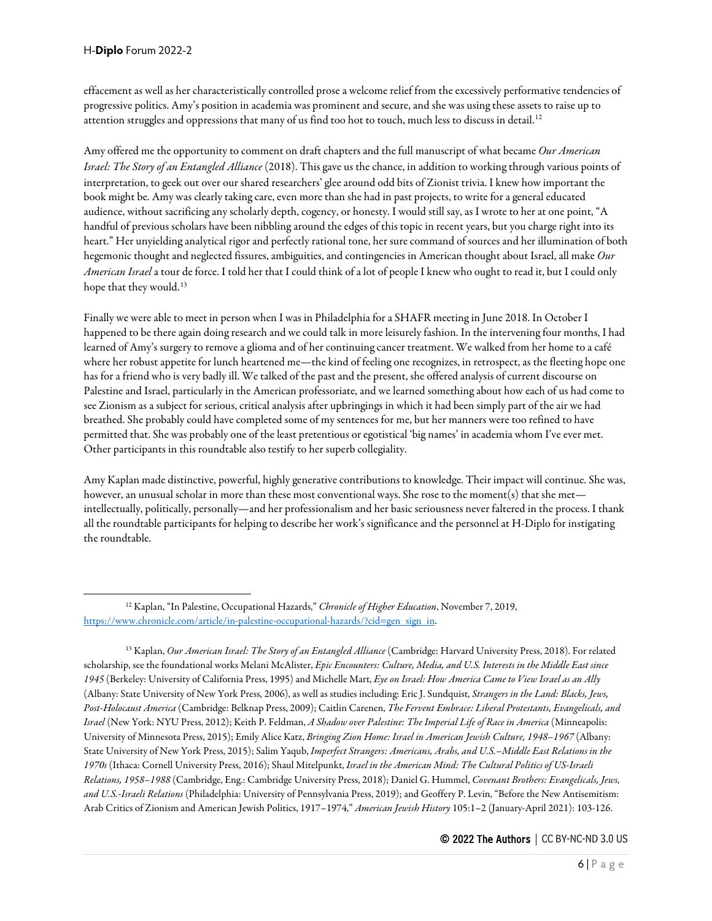effacement as well as her characteristically controlled prose a welcome relief from the excessively performative tendencies of progressive politics. Amy's position in academia was prominent and secure, and she was using these assets to raise up to attention struggles and oppressions that many of us find too hot to touch, much less to discuss in detail.<sup>[12](#page-5-0)</sup>

Amy offered me the opportunity to comment on draft chapters and the full manuscript of what became *Our American Israel: The Story of an Entangled Alliance* (2018). This gave us the chance, in addition to working through various points of interpretation, to geek out over our shared researchers' glee around odd bits of Zionist trivia. I knew how important the book might be. Amy was clearly taking care, even more than she had in past projects, to write for a general educated audience, without sacrificing any scholarly depth, cogency, or honesty. I would still say, as I wrote to her at one point, "A handful of previous scholars have been nibbling around the edges of this topic in recent years, but you charge right into its heart." Her unyielding analytical rigor and perfectly rational tone, her sure command of sources and her illumination of both hegemonic thought and neglected fissures, ambiguities, and contingencies in American thought about Israel, all make *Our American Israel*a tour de force. I told her that I could think of a lot of people I knew who ought to read it, but I could only hope that they would.<sup>[13](#page-5-1)</sup>

Finally we were able to meet in person when I was in Philadelphia for a SHAFR meeting in June 2018. In October I happened to be there again doing research and we could talk in more leisurely fashion. In the intervening four months, I had learned of Amy's surgery to remove a glioma and of her continuing cancer treatment. We walked from her home to a café where her robust appetite for lunch heartened me—the kind of feeling one recognizes, in retrospect, as the fleeting hope one has for a friend who is very badly ill. We talked of the past and the present, she offered analysis of current discourse on Palestine and Israel, particularly in the American professoriate, and we learned something about how each of us had come to see Zionism as a subject for serious, critical analysis after upbringings in which it had been simply part of the air we had breathed. She probably could have completed some of my sentences for me, but her manners were too refined to have permitted that. She was probably one of the least pretentious or egotistical 'big names' in academia whom I've ever met. Other participants in this roundtable also testify to her superb collegiality.

Amy Kaplan made distinctive, powerful, highly generative contributions to knowledge. Their impact will continue. She was, however, an unusual scholar in more than these most conventional ways. She rose to the moment(s) that she met intellectually, politically, personally—and her professionalism and her basic seriousness never faltered in the process. I thank all the roundtable participants for helping to describe her work's significance and the personnel at H-Diplo for instigating the roundtable.

<span id="page-5-0"></span><sup>12</sup> Kaplan, "In Palestine, Occupational Hazards," *Chronicle of Higher Education*, November 7, 2019, [https://www.chronicle.com/article/in-palestine-occupational-hazards/?cid=gen\\_sign\\_in.](https://www.chronicle.com/article/in-palestine-occupational-hazards/?cid=gen_sign_in) 

<span id="page-5-1"></span><sup>13</sup> Kaplan, *Our American Israel: The Story of an Entangled Alliance* (Cambridge: Harvard University Press, 2018). For related scholarship, see the foundational works Melani McAlister, *Epic Encounters: Culture, Media, and U.S. Interests in the Middle East since 1945* (Berkeley: University of California Press, 1995) and Michelle Mart, *Eye on Israel: How America Came to View Israel as an Ally* (Albany: State University of New York Press, 2006), as well as studies including: Eric J. Sundquist, *Strangers in the Land: Blacks, Jews, Post-Holocaust America* (Cambridge: Belknap Press, 2009); Caitlin Carenen, *The Fervent Embrace: Liberal Protestants, Evangelicals, and Israel* (New York: NYU Press, 2012); Keith P. Feldman, *A Shadow over Palestine: The Imperial Life of Race in America* (Minneapolis: University of Minnesota Press, 2015); Emily Alice Katz, *Bringing Zion Home: Israel in American Jewish Culture, 1948–1967* (Albany: State University of New York Press, 2015); Salim Yaqub, *Imperfect Strangers: Americans, Arabs, and U.S.–Middle East Relations in the 1970s* (Ithaca: Cornell University Press, 2016); Shaul Mitelpunkt, *Israel in the American Mind: The Cultural Politics of US-Israeli Relations, 1958–1988* (Cambridge, Eng.: Cambridge University Press, 2018); Daniel G. Hummel, *Covenant Brothers: Evangelicals, Jews, and U.S.-Israeli Relations* (Philadelphia: University of Pennsylvania Press, 2019); and Geoffery P. Levin, "Before the New Antisemitism: Arab Critics of Zionism and American Jewish Politics, 1917–1974," *American Jewish History* 105:1–2 (January-April 2021): 103-126.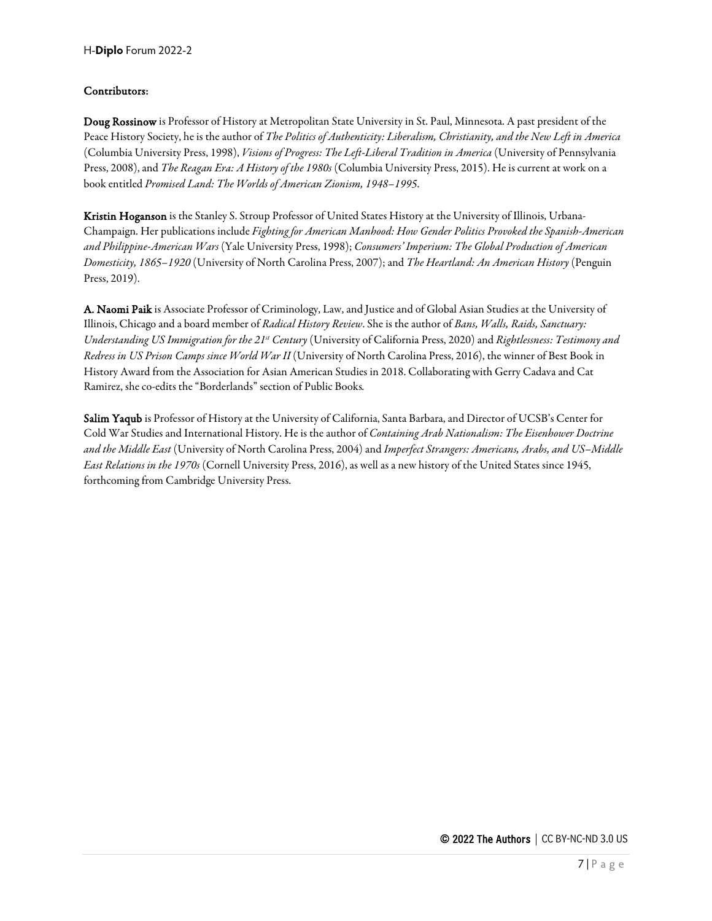#### Contributors:

Doug Rossinow is Professor of History at Metropolitan State University in St. Paul, Minnesota. A past president of the Peace History Society, he is the author of *The Politics of Authenticity: Liberalism, Christianity, and the New Left in America* (Columbia University Press, 1998), *Visions of Progress: The Left-Liberal Tradition in America* (University of Pennsylvania Press, 2008), and *The Reagan Era: A History of the 1980s* (Columbia University Press, 2015). He is current at work on a book entitled *Promised Land: The Worlds of American Zionism, 1948–1995*.

Kristin Hoganson is the Stanley S. Stroup Professor of United States History at the University of Illinois, Urbana-Champaign. Her publications include *Fighting for American Manhood: How Gender Politics Provoked the Spanish-American and Philippine-American Wars* (Yale University Press, 1998); *Consumers' Imperium: The Global Production of American Domesticity, 1865–1920* (University of North Carolina Press, 2007); and *The Heartland: An American History* (Penguin Press, 2019).

A. Naomi Paik is Associate Professor of Criminology, Law, and Justice and of Global Asian Studies at the University of Illinois, Chicago and a board member of *Radical History Review*. She is the author of *Bans, Walls, Raids, Sanctuary: Understanding US Immigration for the 21st Century* (University of California Press, 2020) and *Rightlessness: Testimony and Redress in US Prison Camps since World War II* (University of North Carolina Press, 2016), the winner of Best Book in History Award from the Association for Asian American Studies in 2018. Collaborating with Gerry Cadava and Cat Ramirez, she co-edits the "Borderlands" section of Public Books*.* 

Salim Yaqub is Professor of History at the University of California, Santa Barbara, and Director of UCSB's Center for Cold War Studies and International History. He is the author of *Containing Arab Nationalism: The Eisenhower Doctrine and the Middle East* (University of North Carolina Press, 2004) and *Imperfect Strangers: Americans, Arabs, and US–Middle East Relations in the 1970s* (Cornell University Press, 2016), as well as a new history of the United States since 1945, forthcoming from Cambridge University Press.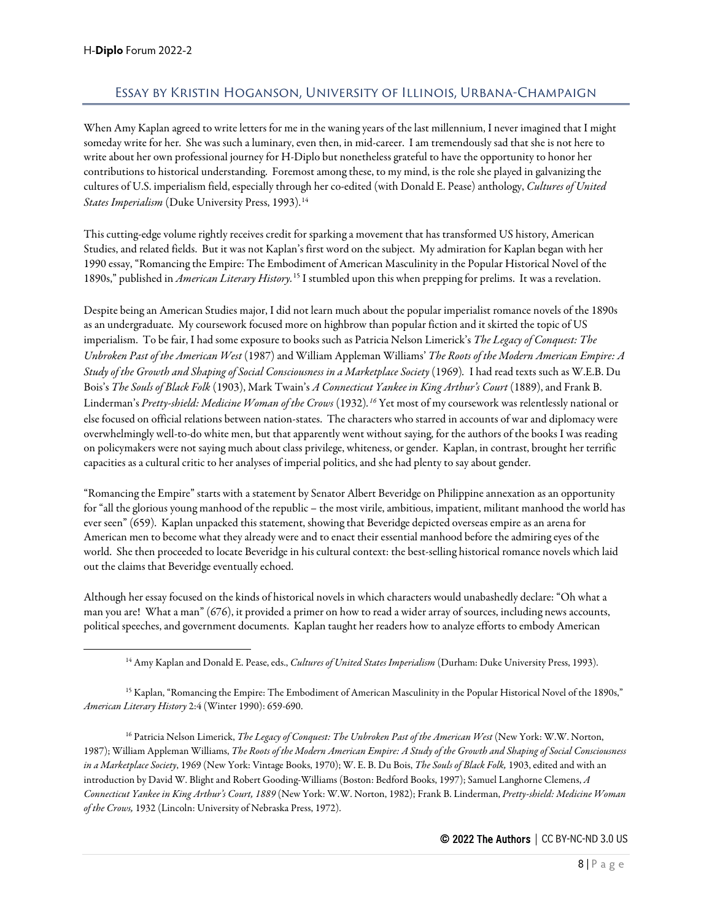## <span id="page-7-0"></span>Essay by Kristin Hoganson, University of Illinois, Urbana-Champaign

When Amy Kaplan agreed to write letters for me in the waning years of the last millennium, I never imagined that I might someday write for her. She was such a luminary, even then, in mid-career. I am tremendously sad that she is not here to write about her own professional journey for H-Diplo but nonetheless grateful to have the opportunity to honor her contributions to historical understanding. Foremost among these, to my mind, is the role she played in galvanizing the cultures of U.S. imperialism field, especially through her co-edited (with Donald E. Pease) anthology, *Cultures of United States Imperialism* (Duke University Press, 1993).<sup>[14](#page-7-1)</sup>

This cutting-edge volume rightly receives credit for sparking a movement that has transformed US history, American Studies, and related fields. But it was not Kaplan's first word on the subject. My admiration for Kaplan began with her 1990 essay, "Romancing the Empire: The Embodiment of American Masculinity in the Popular Historical Novel of the 1890s," published in *American Literary History.*[15](#page-7-2) I stumbled upon this when prepping for prelims. It was a revelation.

Despite being an American Studies major, I did not learn much about the popular imperialist romance novels of the 1890s as an undergraduate. My coursework focused more on highbrow than popular fiction and it skirted the topic of US imperialism. To be fair, I had some exposure to books such as Patricia Nelson Limerick's *The Legacy of Conquest: The Unbroken Past of the American West* (1987) and William Appleman Williams' *The Roots of the Modern American Empire: A Study of the Growth and Shaping of Social Consciousness in a Marketplace Society* (1969)*.* I had read texts such as W.E.B. Du Bois's *The Souls of Black Folk* (1903), Mark Twain's *A Connecticut Yankee in King Arthur's Court* (1889), and Frank B. Linderman's *Pretty-shield: Medicine Woman of the Crows* (1932)*. [16](#page-7-3)* Yet most of my coursework was relentlessly national or else focused on official relations between nation-states. The characters who starred in accounts of war and diplomacy were overwhelmingly well-to-do white men, but that apparently went without saying, for the authors of the books I was reading on policymakers were not saying much about class privilege, whiteness, or gender. Kaplan, in contrast, brought her terrific capacities as a cultural critic to her analyses of imperial politics, and she had plenty to say about gender.

"Romancing the Empire" starts with a statement by Senator Albert Beveridge on Philippine annexation as an opportunity for "all the glorious young manhood of the republic – the most virile, ambitious, impatient, militant manhood the world has ever seen" (659). Kaplan unpacked this statement, showing that Beveridge depicted overseas empire as an arena for American men to become what they already were and to enact their essential manhood before the admiring eyes of the world. She then proceeded to locate Beveridge in his cultural context: the best-selling historical romance novels which laid out the claims that Beveridge eventually echoed.

Although her essay focused on the kinds of historical novels in which characters would unabashedly declare: "Oh what a man you are! What a man" (676), it provided a primer on how to read a wider array of sources, including news accounts, political speeches, and government documents. Kaplan taught her readers how to analyze efforts to embody American

<span id="page-7-2"></span><span id="page-7-1"></span><sup>15</sup> Kaplan, "Romancing the Empire: The Embodiment of American Masculinity in the Popular Historical Novel of the 1890s," *American Literary History* 2:4 (Winter 1990): 659-690.

<span id="page-7-3"></span><sup>16</sup> Patricia Nelson Limerick, *The Legacy of Conquest: The Unbroken Past of the American West* (New York: W.W. Norton, 1987); William Appleman Williams, *The Roots of the Modern American Empire: A Study of the Growth and Shaping of Social Consciousness in a Marketplace Society*, 1969 (New York: Vintage Books, 1970); W. E. B. Du Bois, *The Souls of Black Folk,* 1903, edited and with an introduction by David W. Blight and Robert Gooding-Williams (Boston: Bedford Books, 1997); Samuel Langhorne Clemens, *A Connecticut Yankee in King Arthur's Court, 1889* (New York: W.W. Norton, 1982); Frank B. Linderman, *Pretty-shield: Medicine Woman of the Crows,* 1932 (Lincoln: University of Nebraska Press, 1972).

<sup>14</sup> Amy Kaplan and Donald E. Pease, eds., *Cultures of United States Imperialism* (Durham: Duke University Press, 1993).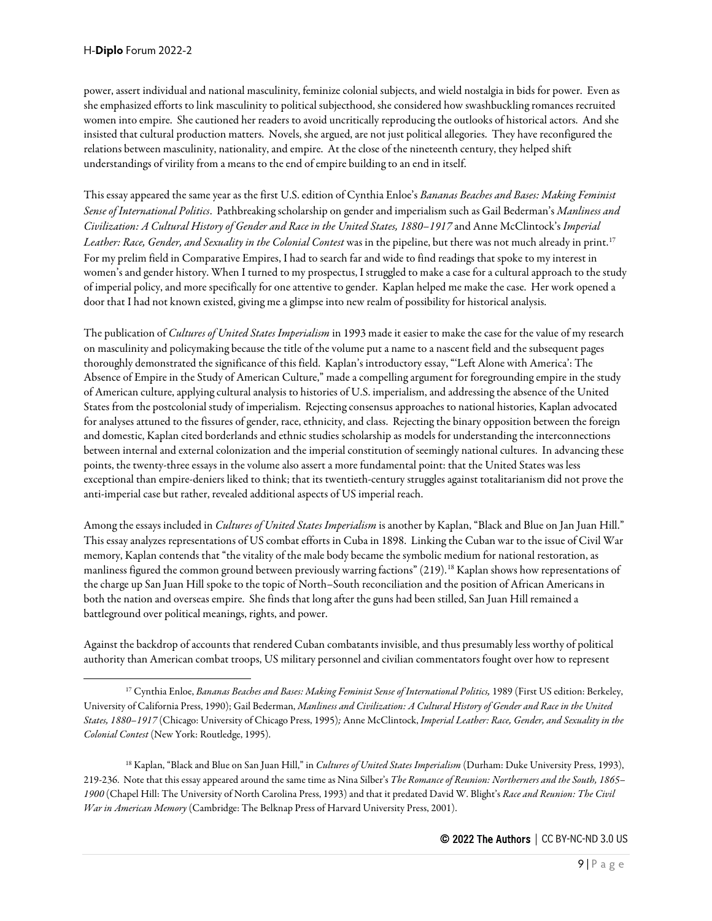power, assert individual and national masculinity, feminize colonial subjects, and wield nostalgia in bids for power. Even as she emphasized efforts to link masculinity to political subjecthood, she considered how swashbuckling romances recruited women into empire. She cautioned her readers to avoid uncritically reproducing the outlooks of historical actors. And she insisted that cultural production matters. Novels, she argued, are not just political allegories. They have reconfigured the relations between masculinity, nationality, and empire. At the close of the nineteenth century, they helped shift understandings of virility from a means to the end of empire building to an end in itself.

This essay appeared the same year as the first U.S. edition of Cynthia Enloe's *Bananas Beaches and Bases: Making Feminist Sense of International Politics*. Pathbreaking scholarship on gender and imperialism such as Gail Bederman's *Manliness and Civilization: A Cultural History of Gender and Race in the United States, 1880–1917* and Anne McClintock's *Imperial*  Leather: Race, Gender, and Sexuality in the Colonial Contest was in the pipeline, but there was not much already in print.<sup>[17](#page-8-0)</sup> For my prelim field in Comparative Empires, I had to search far and wide to find readings that spoke to my interest in women's and gender history. When I turned to my prospectus, I struggled to make a case for a cultural approach to the study of imperial policy, and more specifically for one attentive to gender. Kaplan helped me make the case. Her work opened a door that I had not known existed, giving me a glimpse into new realm of possibility for historical analysis.

The publication of *Cultures of United States Imperialism* in 1993 made it easier to make the case for the value of my research on masculinity and policymaking because the title of the volume put a name to a nascent field and the subsequent pages thoroughly demonstrated the significance of this field. Kaplan's introductory essay, "'Left Alone with America': The Absence of Empire in the Study of American Culture," made a compelling argument for foregrounding empire in the study of American culture, applying cultural analysis to histories of U.S. imperialism, and addressing the absence of the United States from the postcolonial study of imperialism. Rejecting consensus approaches to national histories, Kaplan advocated for analyses attuned to the fissures of gender, race, ethnicity, and class. Rejecting the binary opposition between the foreign and domestic, Kaplan cited borderlands and ethnic studies scholarship as models for understanding the interconnections between internal and external colonization and the imperial constitution of seemingly national cultures. In advancing these points, the twenty-three essays in the volume also assert a more fundamental point: that the United States was less exceptional than empire-deniers liked to think; that its twentieth-century struggles against totalitarianism did not prove the anti-imperial case but rather, revealed additional aspects of US imperial reach.

Among the essays included in *Cultures of United States Imperialism* is another by Kaplan, "Black and Blue on Jan Juan Hill." This essay analyzes representations of US combat efforts in Cuba in 1898. Linking the Cuban war to the issue of Civil War memory, Kaplan contends that "the vitality of the male body became the symbolic medium for national restoration, as manliness figured the common ground between previously warring factions" (219).<sup>[18](#page-8-1)</sup> Kaplan shows how representations of the charge up San Juan Hill spoke to the topic of North–South reconciliation and the position of African Americans in both the nation and overseas empire. She finds that long after the guns had been stilled, San Juan Hill remained a battleground over political meanings, rights, and power.

Against the backdrop of accounts that rendered Cuban combatants invisible, and thus presumably less worthy of political authority than American combat troops, US military personnel and civilian commentators fought over how to represent

<span id="page-8-1"></span><sup>18</sup> Kaplan, "Black and Blue on San Juan Hill," in *Cultures of United States Imperialism* (Durham: Duke University Press, 1993), 219-236. Note that this essay appeared around the same time as Nina Silber's *The Romance of Reunion: Northerners and the South, 1865– 1900* (Chapel Hill: The University of North Carolina Press, 1993) and that it predated David W. Blight's *Race and Reunion: The Civil War in American Memory* (Cambridge: The Belknap Press of Harvard University Press, 2001).

<span id="page-8-0"></span><sup>&</sup>lt;sup>17</sup> Cynthia Enloe, *Bananas Beaches and Bases: Making Feminist Sense of International Politics*, 1989 (First US edition: Berkeley, University of California Press, 1990); Gail Bederman, *Manliness and Civilization: A Cultural History of Gender and Race in the United States, 1880–1917* (Chicago: University of Chicago Press, 1995)*;* Anne McClintock, *Imperial Leather: Race, Gender, and Sexuality in the Colonial Contest* (New York: Routledge, 1995).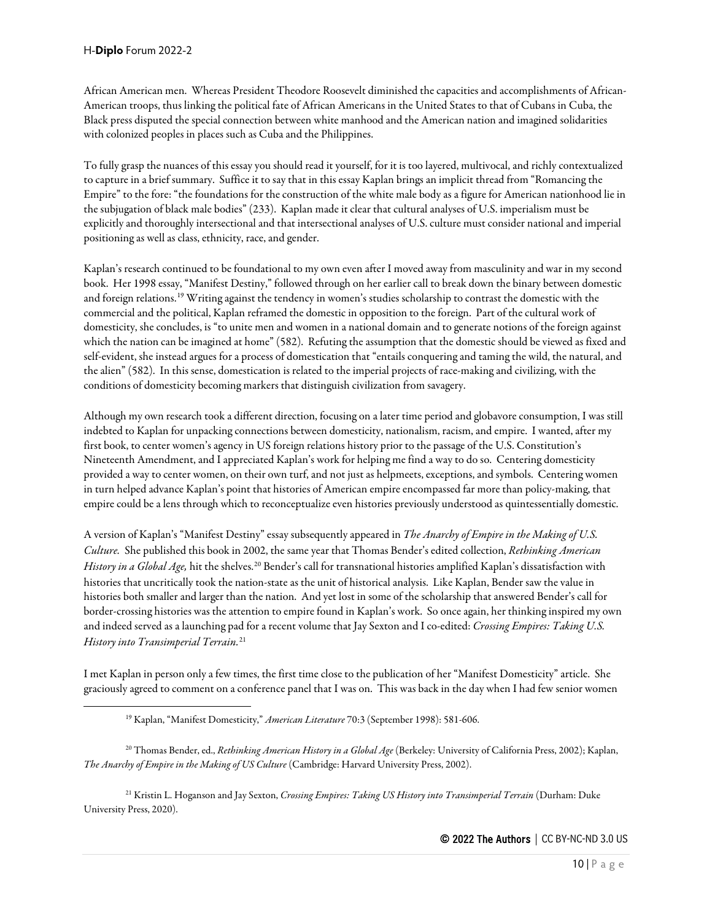African American men. Whereas President Theodore Roosevelt diminished the capacities and accomplishments of African-American troops, thus linking the political fate of African Americans in the United States to that of Cubans in Cuba, the Black press disputed the special connection between white manhood and the American nation and imagined solidarities with colonized peoples in places such as Cuba and the Philippines.

To fully grasp the nuances of this essay you should read it yourself, for it is too layered, multivocal, and richly contextualized to capture in a brief summary. Suffice it to say that in this essay Kaplan brings an implicit thread from "Romancing the Empire" to the fore: "the foundations for the construction of the white male body as a figure for American nationhood lie in the subjugation of black male bodies" (233). Kaplan made it clear that cultural analyses of U.S. imperialism must be explicitly and thoroughly intersectional and that intersectional analyses of U.S. culture must consider national and imperial positioning as well as class, ethnicity, race, and gender.

Kaplan's research continued to be foundational to my own even after I moved away from masculinity and war in my second book. Her 1998 essay, "Manifest Destiny," followed through on her earlier call to break down the binary between domestic and foreign relations.[19](#page-9-0) Writing against the tendency in women's studies scholarship to contrast the domestic with the commercial and the political, Kaplan reframed the domestic in opposition to the foreign. Part of the cultural work of domesticity, she concludes, is "to unite men and women in a national domain and to generate notions of the foreign against which the nation can be imagined at home" (582). Refuting the assumption that the domestic should be viewed as fixed and self-evident, she instead argues for a process of domestication that "entails conquering and taming the wild, the natural, and the alien" (582). In this sense, domestication is related to the imperial projects of race-making and civilizing, with the conditions of domesticity becoming markers that distinguish civilization from savagery.

Although my own research took a different direction, focusing on a later time period and globavoreconsumption, I was still indebted to Kaplan for unpacking connections between domesticity, nationalism, racism, and empire. I wanted, after my first book, to center women's agency in US foreign relations history prior to the passage of the U.S. Constitution's Nineteenth Amendment, and I appreciated Kaplan's work for helping me find a way to do so. Centering domesticity provided a way to center women, on their own turf, and not just as helpmeets, exceptions, and symbols. Centering women in turn helped advance Kaplan's point that histories of American empire encompassed far more than policy-making, that empire could be a lens through which to reconceptualize even histories previously understood as quintessentially domestic.

A version of Kaplan's "Manifest Destiny" essay subsequently appeared in *The Anarchy of Empire in the Making of U.S. Culture.* She published this book in 2002, the same year that Thomas Bender's edited collection, *Rethinking American History in a Global Age,* hit the shelves.[20](#page-9-1) Bender's call for transnational histories amplified Kaplan's dissatisfaction with histories that uncritically took the nation-state as the unit of historical analysis. Like Kaplan, Bender saw the value in histories both smaller and larger than the nation. And yet lost in some of the scholarship that answered Bender's call for border-crossing histories was the attention to empire found in Kaplan's work. So once again, her thinking inspired my own and indeed served as a launching pad for a recent volume that Jay Sexton and I co-edited: *Crossing Empires: Taking U.S. History into Transimperial Terrain.*[21](#page-9-2)

I met Kaplan in person only a few times, the first time close to the publication of her "Manifest Domesticity" article. She graciously agreed to comment on a conference panel that I was on. This was back in the day when I had few senior women

<span id="page-9-1"></span><span id="page-9-0"></span><sup>20</sup> Thomas Bender, ed., *Rethinking American History in a Global Age* (Berkeley: University of California Press, 2002); Kaplan, *The Anarchy of Empire in the Making of US Culture* (Cambridge: Harvard University Press, 2002).

<span id="page-9-2"></span><sup>21</sup> Kristin L. Hoganson and Jay Sexton, *Crossing Empires: Taking US History into Transimperial Terrain* (Durham: Duke University Press, 2020).

<sup>19</sup> Kaplan, "Manifest Domesticity," *American Literature* 70:3 (September 1998): 581-606.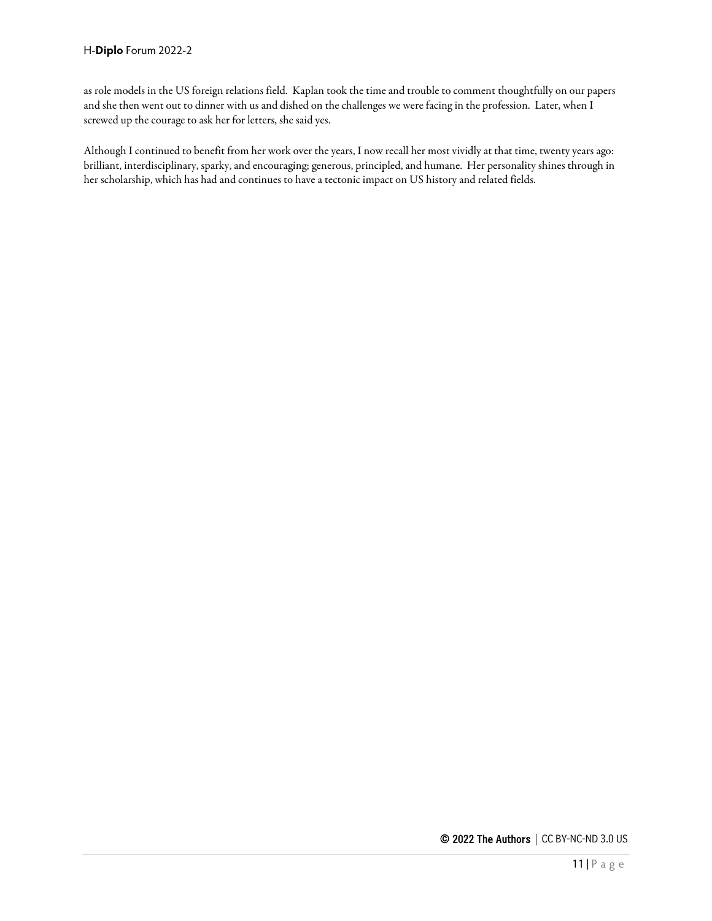as role models in the US foreign relations field. Kaplan took the time and trouble to comment thoughtfully on our papers and she then went out to dinner with us and dished on the challenges we were facing in the profession. Later, when I screwed up the courage to ask her for letters, she said yes.

Although I continued to benefit from her work over the years, I now recall her most vividly at that time, twenty years ago: brilliant, interdisciplinary, sparky, and encouraging; generous, principled, and humane. Her personality shines through in her scholarship, which has had and continues to have a tectonic impact on US history and related fields.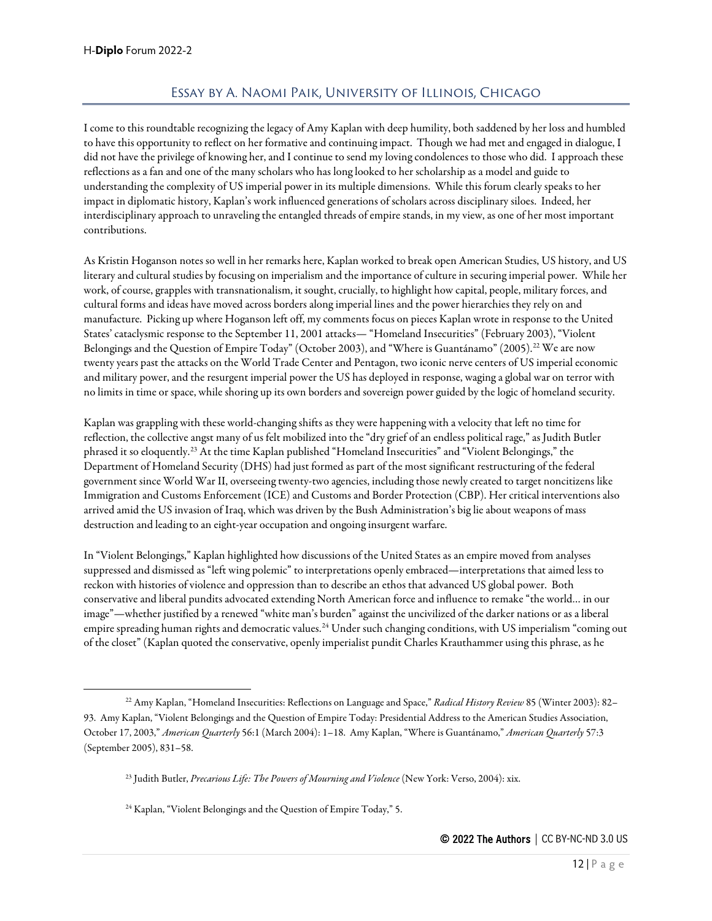# Essay by A. Naomi Paik, University of Illinois, Chicago

<span id="page-11-0"></span>I come to this roundtable recognizing the legacy of Amy Kaplan with deep humility, both saddened by her loss and humbled to have this opportunity to reflect on her formative and continuing impact. Though we had met and engaged in dialogue, I did not have the privilege of knowing her, and I continue to send my loving condolences to those who did. I approach these reflections as a fan and one of the many scholars who has long looked to her scholarship as a model and guide to understanding the complexity of US imperial power in its multiple dimensions. While this forum clearly speaks to her impact in diplomatic history, Kaplan's work influenced generations of scholars across disciplinary siloes. Indeed, her interdisciplinary approach to unraveling the entangled threads of empire stands, in my view, as one of her most important contributions.

As Kristin Hoganson notes so well in her remarks here, Kaplan worked to break open American Studies, US history, and US literary and cultural studies by focusing on imperialism and the importance of culture in securing imperial power. While her work, of course, grapples with transnationalism, it sought, crucially, to highlight how capital, people, military forces, and cultural forms and ideas have moved across borders along imperial lines and the power hierarchies they rely on and manufacture. Picking up where Hoganson left off, my comments focus on pieces Kaplan wrote in response to the United States' cataclysmic response to the September 11, 2001 attacks— "Homeland Insecurities" (February 2003), "Violent Belongings and the Question of Empire Today" (October 2003), and "Where is Guantánamo" (2005).<sup>22</sup> We are now twenty years past the attacks on the World Trade Center and Pentagon, two iconic nerve centers of US imperial economic and military power, and the resurgent imperial power the US has deployed in response, waging a global war on terror with no limits in time or space, while shoring up its own borders and sovereign power guided by the logic of homeland security.

Kaplan was grappling with these world-changing shifts as they were happening with a velocity that left no time for reflection, the collective angst many of us felt mobilized into the "dry grief of an endless political rage," as Judith Butler phrased it so eloquently.[23](#page-11-2) At the time Kaplan published "Homeland Insecurities" and "Violent Belongings," the Department of Homeland Security (DHS) had just formed as part of the most significant restructuring of the federal government since World War II, overseeing twenty-two agencies, including those newly created to target noncitizens like Immigration and Customs Enforcement (ICE) and Customs and Border Protection (CBP). Her critical interventions also arrived amid the US invasion of Iraq, which was driven by the Bush Administration's big lie about weapons of mass destruction and leading to an eight-year occupation and ongoing insurgent warfare.

In "Violent Belongings," Kaplan highlighted how discussions of the United States as an empire moved from analyses suppressed and dismissed as "left wing polemic" to interpretations openly embraced—interpretations that aimed less to reckon with histories of violence and oppression than to describe an ethos that advanced US global power. Both conservative and liberal pundits advocated extending North American force and influence to remake "the world… in our image"—whether justified by a renewed "white man's burden" against the uncivilized of the darker nations or as a liberal empire spreading human rights and democratic values.<sup>[24](#page-11-3)</sup> Under such changing conditions, with US imperialism "coming out of the closet" (Kaplan quoted the conservative, openly imperialist pundit Charles Krauthammer using this phrase, as he

<span id="page-11-2"></span><span id="page-11-1"></span><sup>22</sup> Amy Kaplan, "Homeland Insecurities: Reflections on Language and Space," *Radical History Review* 85 (Winter 2003): 82– 93. Amy Kaplan, "Violent Belongings and the Question of Empire Today: Presidential Address to the American Studies Association, October 17, 2003," *American Quarterly* 56:1 (March 2004): 1–18. Amy Kaplan, "Where is Guantánamo," *American Quarterly* 57:3 (September 2005), 831–58.

<sup>&</sup>lt;sup>23</sup> Judith Butler, *Precarious Life: The Powers of Mourning and Violence* (New York: Verso, 2004): xix.

<span id="page-11-3"></span><sup>&</sup>lt;sup>24</sup> Kaplan, "Violent Belongings and the Question of Empire Today," 5.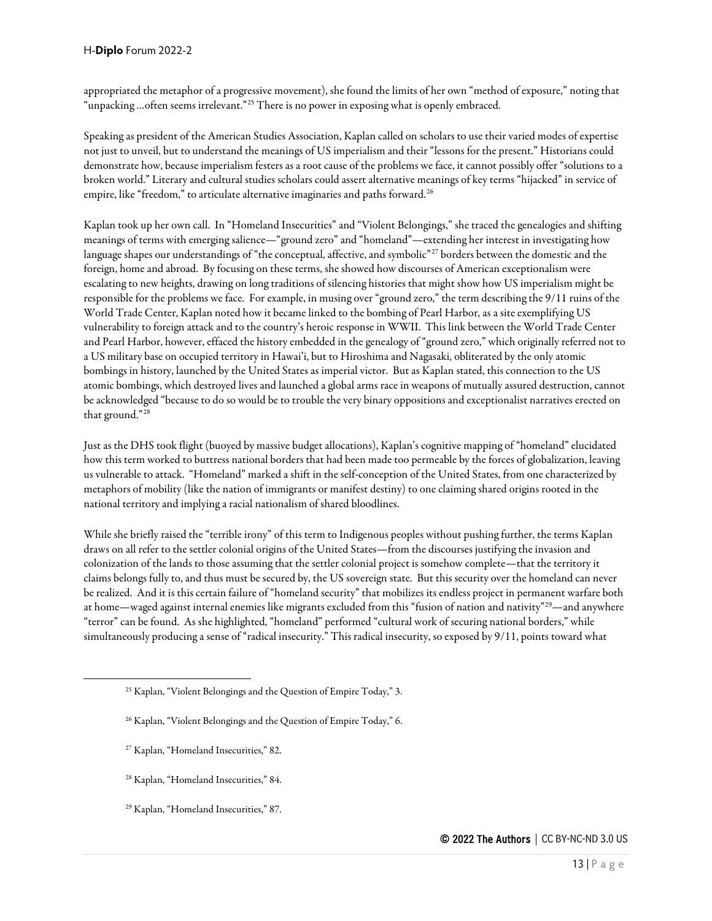appropriated the metaphor of a progressive movement), she found the limits of her own "method of exposure," noting that "unpacking …often seems irrelevant."[25](#page-12-0) There is no power in exposing what is openly embraced.

Speaking as president of the American Studies Association, Kaplan called on scholars to use their varied modes of expertise not just to unveil, but to understand the meanings of US imperialism and their "lessons for the present." Historians could demonstrate how, because imperialism festers as a root cause of the problems we face, it cannot possibly offer "solutions to a broken world." Literary and cultural studies scholars could assert alternative meanings of key terms "hijacked" in service of empire, like "freedom," to articulate alternative imaginaries and paths forward.<sup>[26](#page-12-1)</sup>

Kaplan took up her own call. In "Homeland Insecurities" and "Violent Belongings," she traced the genealogies and shifting meanings of terms with emerging salience—"ground zero" and "homeland"—extending her interest in investigating how language shapes our understandings of "the conceptual, affective, and symbolic"<sup>[27](#page-12-2)</sup> borders between the domestic and the foreign, home and abroad. By focusing on these terms, she showed how discourses of American exceptionalism were escalating to new heights, drawing on long traditions of silencing histories that might show how US imperialism might be responsible for the problems we face. For example, in musing over "ground zero," the term describing the 9/11 ruins of the World Trade Center, Kaplan noted how it became linked to the bombing of Pearl Harbor, as a site exemplifying US vulnerability to foreign attack and to the country's heroic response in WWII. This link between the World Trade Center and Pearl Harbor, however, effaced the history embedded in the genealogy of "ground zero," which originally referred not to a US military base on occupied territory in Hawai'i, but to Hiroshima and Nagasaki, obliterated by the only atomic bombings in history, launched by the United States as imperial victor. But as Kaplan stated, this connection to the US atomic bombings, which destroyed lives and launched a global arms race in weapons of mutually assured destruction, cannot be acknowledged "because to do so would be to trouble the very binary oppositions and exceptionalist narratives erected on that ground."[28](#page-12-3)

Just as the DHS took flight (buoyed by massive budget allocations), Kaplan's cognitive mapping of "homeland" elucidated how this term worked to buttress national borders that had been made too permeable by the forces of globalization, leaving us vulnerable to attack. "Homeland" marked a shift in the self-conception of the United States, from one characterized by metaphors of mobility (like the nation of immigrants or manifest destiny) to one claiming shared origins rooted in the national territory and implying a racial nationalism of shared bloodlines.

While she briefly raised the "terrible irony" of this term to Indigenous peoples without pushing further, the terms Kaplan draws on all refer to the settler colonial origins of the United States—from the discourses justifying the invasion and colonization of the lands to those assuming that the settler colonial project is somehow complete—that the territory it claims belongs fully to, and thus must be secured by, the US sovereign state. But this security over the homeland can never be realized. And it is this certain failure of "homeland security" that mobilizes its endless project in permanent warfare both at home—waged against internal enemies like migrants excluded from this "fusion of nation and nativity"<sup>29</sup>—and anywhere "terror" can be found. As she highlighted, "homeland" performed "cultural work of securing national borders," while simultaneously producing a sense of "radical insecurity." This radical insecurity, so exposed by 9/11, points toward what

- <span id="page-12-3"></span><sup>28</sup> Kaplan, "Homeland Insecurities," 84.
- <span id="page-12-4"></span><sup>29</sup> Kaplan, "Homeland Insecurities," 87.

<span id="page-12-1"></span><span id="page-12-0"></span><sup>25</sup> Kaplan, "Violent Belongings and the Question of Empire Today," 3.

<sup>&</sup>lt;sup>26</sup> Kaplan, "Violent Belongings and the Question of Empire Today," 6.

<span id="page-12-2"></span><sup>27</sup> Kaplan, "Homeland Insecurities," 82.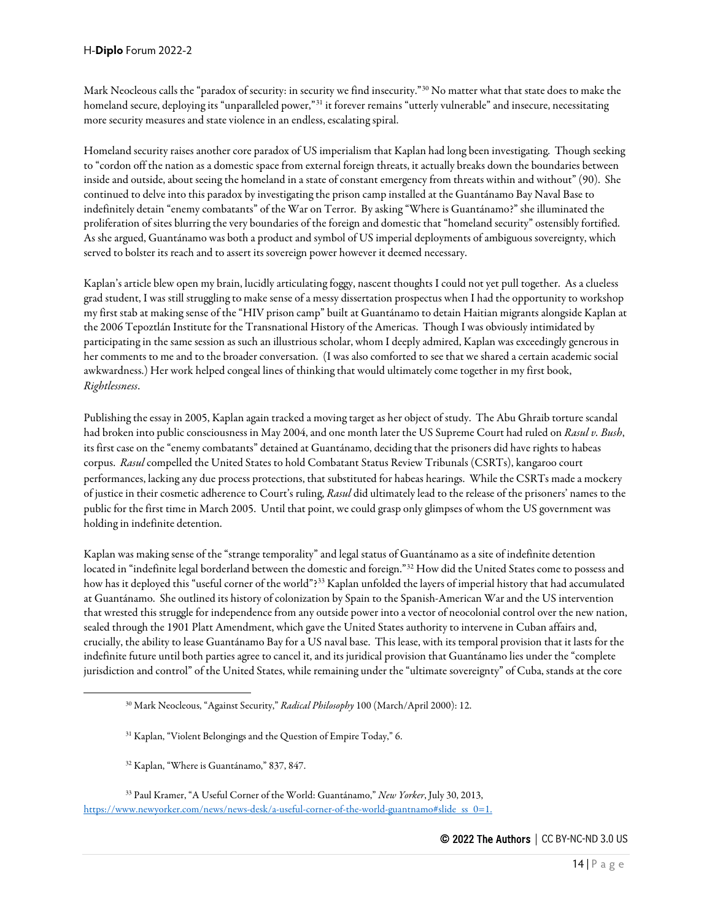Mark Neocleous calls the "paradox of security: in security we find insecurity."[30](#page-13-0) No matter what that state does to make the homeland secure, deploying its "unparalleled power,"<sup>[31](#page-13-1)</sup> it forever remains "utterly vulnerable" and insecure, necessitating more security measures and state violence in an endless, escalating spiral.

Homeland security raises another core paradox of US imperialism that Kaplan had long been investigating. Though seeking to "cordon off the nation as a domestic space from external foreign threats, it actually breaks down the boundaries between inside and outside, about seeing the homeland in a state of constant emergency from threats within and without" (90). She continued to delve into this paradox by investigating the prison camp installed at the Guantánamo Bay Naval Base to indefinitely detain "enemy combatants" of the War on Terror. By asking "Where is Guantánamo?" she illuminated the proliferation of sites blurring the very boundaries of the foreign and domestic that "homeland security" ostensibly fortified. As she argued, Guantánamo was both a product and symbol of US imperial deployments of ambiguous sovereignty, which served to bolster its reach and to assert its sovereign power however it deemed necessary.

Kaplan's article blew open my brain, lucidly articulating foggy, nascent thoughts I could not yet pull together. As a clueless grad student, I was still struggling to make sense of a messy dissertation prospectus when I had the opportunity to workshop my first stab at making sense of the "HIV prison camp" built at Guantánamo to detain Haitian migrants alongside Kaplan at the 2006 Tepoztlán Institute for the Transnational History of the Americas. Though I was obviously intimidated by participating in the same session as such an illustrious scholar, whom I deeply admired, Kaplan was exceedingly generous in her comments to me and to the broader conversation. (I was also comforted to see that we shared a certain academic social awkwardness.) Her work helped congeal lines of thinking that would ultimately come together in my first book, *Rightlessness*.

Publishing the essay in 2005, Kaplan again tracked a moving target as her object of study. The Abu Ghraib torture scandal had broken into public consciousness in May 2004, and one month later the US Supreme Court had ruled on *Rasul v. Bush*, its first case on the "enemy combatants" detained at Guantánamo, deciding that the prisoners did have rights to habeas corpus. *Rasul* compelled the United States to hold Combatant Status Review Tribunals (CSRTs), kangaroo court performances, lacking any due process protections, that substituted for habeas hearings. While the CSRTs made a mockery of justice in their cosmeticadherence to Court's ruling, *Rasul* did ultimately lead to the release of the prisoners' names to the public for the first time in March 2005. Until that point, we could grasp only glimpses of whom the US government was holding in indefinite detention.

Kaplan was making sense of the "strange temporality" and legal status of Guantánamo as a site of indefinite detention located in "indefinite legal borderland between the domestic and foreign."[32](#page-13-2) How did the United States come to possess and how has it deployed this "useful corner of the world"[?33](#page-13-3) Kaplan unfolded the layers of imperial history that had accumulated at Guantánamo. She outlined its history of colonization by Spain to the Spanish-American War and the US intervention that wrested this struggle for independence from any outside power into a vector of neocolonial control over the new nation, sealed through the 1901 Platt Amendment, which gave the United States authority to intervene in Cuban affairs and, crucially, the ability to lease Guantánamo Bay for a US naval base. This lease, with its temporal provision that it lasts for the indefinite future until both parties agree to cancel it, and its juridical provision that Guantánamo lies under the "complete jurisdiction and control" of the United States, while remaining under the "ultimate sovereignty" of Cuba, stands at the core

<sup>32</sup> Kaplan, "Where is Guantánamo," 837, 847.

<sup>30</sup> Mark Neocleous, "Against Security," *Radical Philosophy* 100 (March/April 2000): 12.

<sup>&</sup>lt;sup>31</sup> Kaplan, "Violent Belongings and the Question of Empire Today," 6.

<span id="page-13-3"></span><span id="page-13-2"></span><span id="page-13-1"></span><span id="page-13-0"></span><sup>33</sup> Paul Kramer, "A Useful Corner of the World: Guantánamo," *New Yorker*, July 30, 2013, [https://www.newyorker.com/news/news-desk/a-useful-corner-of-the-world-guantnamo#slide\\_ss\\_0=1.](https://www.newyorker.com/news/news-desk/a-useful-corner-of-the-world-guantnamo#slide_ss_0=1)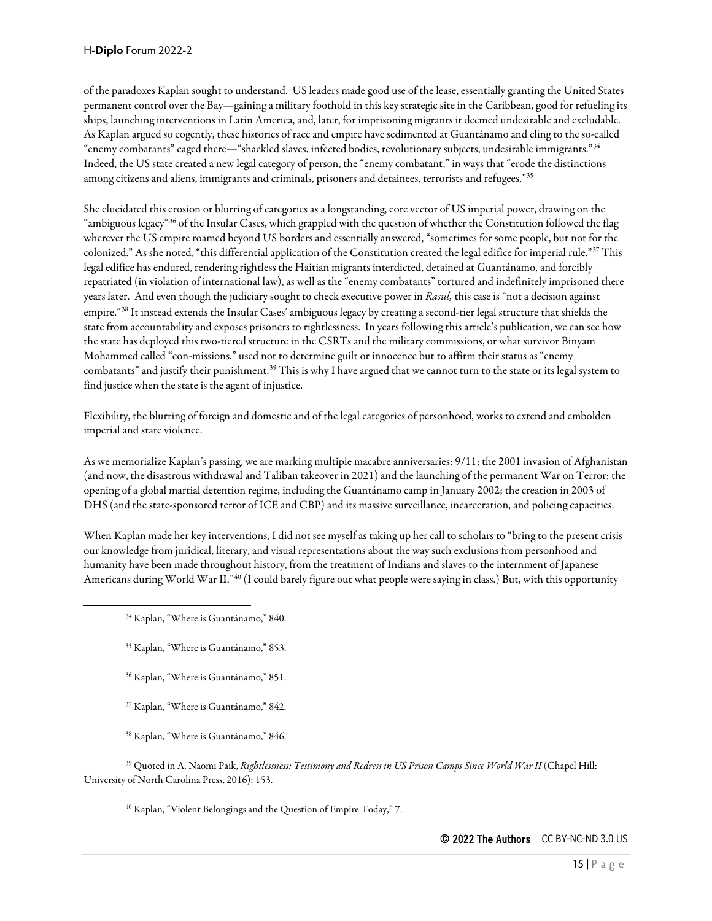of the paradoxes Kaplan sought to understand. US leaders made good use of the lease, essentially granting the United States permanent control over the Bay—gaining a military foothold in this key strategic site in the Caribbean, good for refueling its ships, launching interventions in Latin America, and, later, for imprisoning migrants it deemed undesirable and excludable. As Kaplan argued so cogently, these histories of race and empire have sedimented at Guantánamo and cling to the so-called "enemy combatants" caged there—"shackled slaves, infected bodies, revolutionary subjects, undesirable immigrants."[34](#page-14-0) Indeed, the US state created a new legal category of person, the "enemy combatant," in ways that "erode the distinctions among citizens and aliens, immigrants and criminals, prisoners and detainees, terrorists and refugees."[35](#page-14-1)

She elucidated this erosion or blurring of categories as a longstanding, core vector of US imperial power, drawing on the "ambiguous legacy"[36](#page-14-2) of the Insular Cases, which grappled with the question of whether the Constitution followed the flag wherever the US empire roamed beyond US borders and essentially answered, "sometimes for some people, but not for the colonized." As she noted, "this differential application of the Constitution created the legal edifice for imperial rule."[37](#page-14-3) This legal edifice has endured, rendering rightless the Haitian migrants interdicted, detained at Guantánamo, and forcibly repatriated (in violation of international law), as well as the "enemy combatants" tortured and indefinitely imprisoned there years later. And even though the judiciary sought to check executive power in *Rasul,* this case is "not a decision against empire."[38](#page-14-4) It instead extends the Insular Cases' ambiguous legacy by creating a second-tier legal structure that shields the state from accountability and exposes prisoners to rightlessness. In years following this article's publication, we can see how the state has deployed this two-tiered structure in the CSRTs and the military commissions, or what survivor Binyam Mohammed called "con-missions," used not to determine guilt or innocence but to affirm their status as "enemy combatants" and justify their punishment.<sup>[39](#page-14-5)</sup> This is why I have argued that we cannot turn to the state or its legal system to find justice when the state is the agent of injustice.

Flexibility, the blurring of foreign and domestic and of the legal categories of personhood, works to extend and embolden imperial and state violence.

As we memorialize Kaplan's passing, we are marking multiple macabre anniversaries: 9/11; the 2001 invasion of Afghanistan (and now, the disastrous withdrawal and Taliban takeover in 2021) and the launching of the permanent War on Terror; the opening of a global martial detention regime, including the Guantánamo camp in January 2002; the creation in 2003 of DHS (and the state-sponsored terror of ICE and CBP) and its massive surveillance, incarceration, and policing capacities.

<span id="page-14-0"></span>When Kaplan made her key interventions, I did not see myself as taking up her call to scholars to "bring to the present crisis our knowledge from juridical, literary, and visual representations about the way such exclusions from personhood and humanity have been made throughout history, from the treatment of Indians and slaves to the internment of Japanese Americans during World War II."[40](#page-14-6) (I could barely figure out what people were saying in class.) But, with this opportunity

- <span id="page-14-1"></span><sup>35</sup> Kaplan, "Where is Guantánamo," 853.
- <sup>36</sup> Kaplan, "Where is Guantánamo," 851.
- <sup>37</sup> Kaplan, "Where is Guantánamo," 842.
- <sup>38</sup> Kaplan, "Where is Guantánamo," 846.

<span id="page-14-6"></span><span id="page-14-5"></span><span id="page-14-4"></span><span id="page-14-3"></span><span id="page-14-2"></span><sup>39</sup> Quoted in A. Naomi Paik, *Rightlessness: Testimony and Redress in US Prison Camps Since World War II* (Chapel Hill: University of North Carolina Press, 2016): 153.

<sup>40</sup> Kaplan, "Violent Belongings and the Question of Empire Today," 7.

<sup>34</sup> Kaplan, "Where is Guantánamo," 840.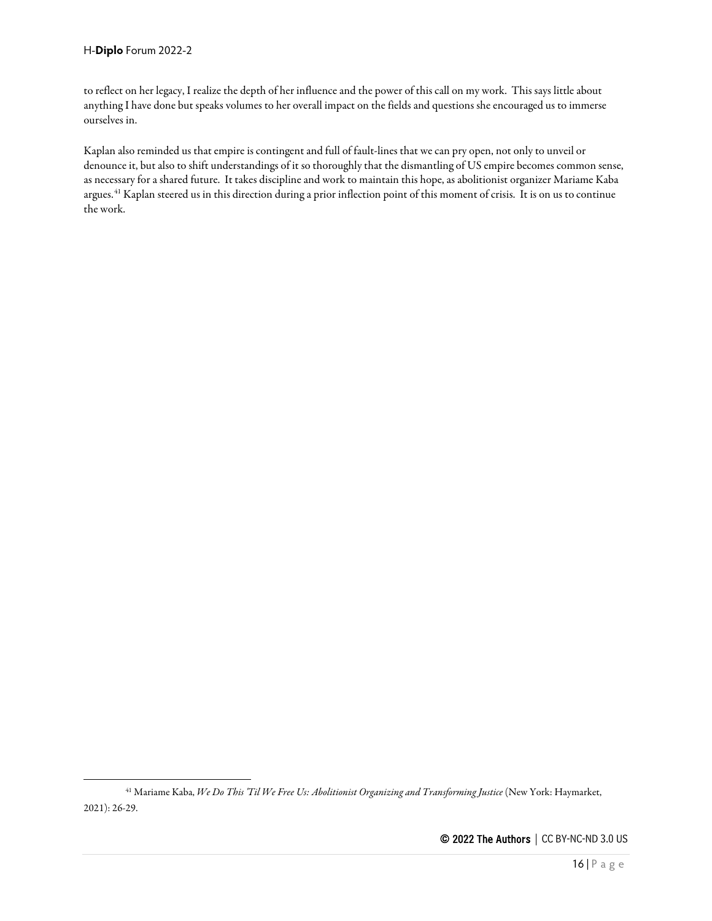to reflect on her legacy, I realize the depth of her influence and the power of this call on my work. This says little about anything I have done but speaks volumes to her overall impact on the fields and questions she encouraged us to immerse ourselves in.

Kaplan also reminded us that empire is contingent and full of fault-lines that we can pry open, not only to unveil or denounce it, but also to shift understandings of it so thoroughly that the dismantling of US empire becomes common sense, as necessary for a shared future. It takes discipline and work to maintain this hope, as abolitionist organizer Mariame Kaba argues.<sup>[41](#page-15-0)</sup> Kaplan steered us in this direction during a prior inflection point of this moment of crisis. It is on us to continue the work.

<span id="page-15-0"></span><sup>41</sup> Mariame Kaba, *We Do This 'Til We Free Us: Abolitionist Organizing and Transforming Justice* (New York: Haymarket, 2021): 26-29.

<sup>© 2022</sup> The Authors | CC BY-NC-ND 3.0 US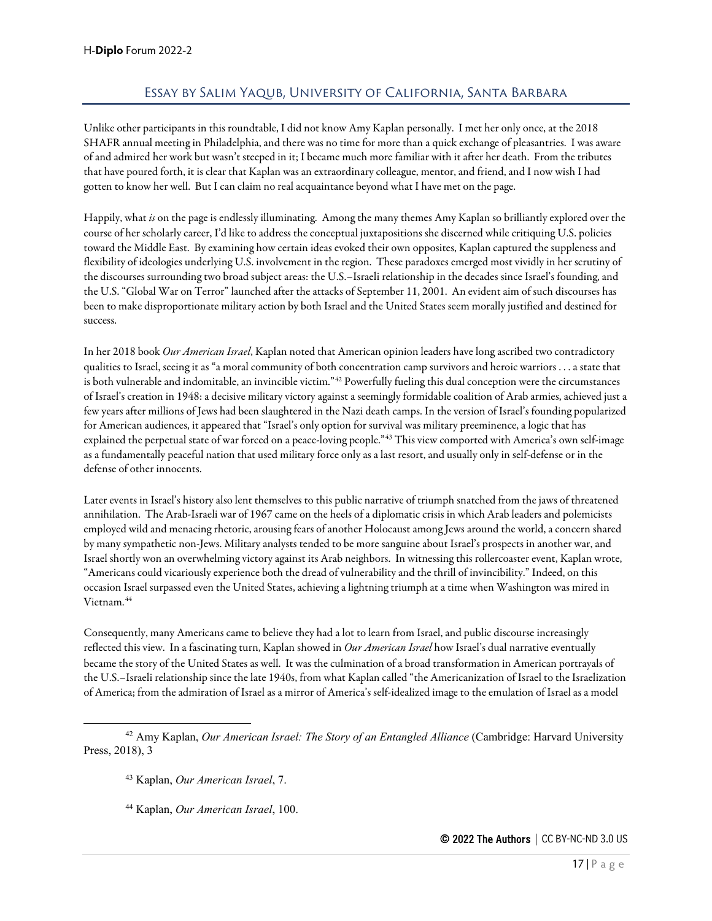# Essay by Salim Yaqub, University of California, Santa Barbara

<span id="page-16-0"></span>Unlike other participants in this roundtable, I did not know Amy Kaplan personally. I met her only once, at the 2018 SHAFR annual meeting in Philadelphia, and there was no time for more than a quick exchange of pleasantries. I was aware of and admired her work but wasn't steeped in it; I became much more familiar with it after her death. From the tributes that have poured forth, it is clear that Kaplan was an extraordinary colleague, mentor, and friend, and I now wish I had gotten to know her well. But I can claim no real acquaintance beyond what I have met on the page.

Happily, what *is* on the page is endlessly illuminating. Among the many themes Amy Kaplan so brilliantly explored over the course of her scholarly career, I'd like to address the conceptual juxtapositions she discerned while critiquing U.S. policies toward the Middle East. By examining how certain ideas evoked their own opposites, Kaplan captured the suppleness and flexibility of ideologies underlying U.S. involvement in the region. These paradoxes emerged most vividly in her scrutiny of the discourses surrounding two broad subject areas: the U.S.–Israeli relationship in the decades since Israel's founding, and the U.S. "Global War on Terror" launched after the attacks of September 11, 2001. An evident aim of such discourses has been to make disproportionate military action by both Israel and the United States seem morally justified and destined for success.

In her 2018 book *Our American Israel*, Kaplan noted that American opinion leaders have long ascribed two contradictory qualities to Israel, seeing it as "a moral community of both concentration camp survivorsand heroic warriors . . . a state that is both vulnerable and indomitable, an invincible victim."<sup>[42](#page-16-1)</sup> Powerfully fueling this dual conception were the circumstances of Israel's creation in 1948: a decisive military victory against a seemingly formidable coalition of Arab armies, achieved just a few years after millions of Jews had been slaughtered in the Nazi death camps. In the version of Israel's founding popularized for American audiences, it appeared that "Israel's only option for survival was military preeminence, a logic that has explained the perpetual state of war forced on a peace-loving people."[43](#page-16-2) This view comported with America's own self-image as a fundamentally peaceful nation that used military force only as a last resort, and usually only in self-defense or in the defense of other innocents.

Later events in Israel's history also lent themselves to this public narrative of triumph snatched from the jaws of threatened annihilation. The Arab-Israeli war of 1967 came on the heels of a diplomatic crisis in which Arab leaders and polemicists employed wild and menacing rhetoric, arousing fears of another Holocaust among Jews around the world, a concern shared by many sympathetic non-Jews. Military analysts tended to be more sanguine about Israel's prospects in another war, and Israel shortly won an overwhelming victory against its Arab neighbors. In witnessing this rollercoaster event, Kaplan wrote, "Americans could vicariously experience both the dread of vulnerability and the thrill of invincibility." Indeed, on this occasion Israel surpassed even the United States, achieving a lightning triumph at a time when Washington was mired in Vietnam.<sup>[44](#page-16-3)</sup>

Consequently, many Americans came to believe they had a lot to learn from Israel, and public discourse increasingly reflected this view. In a fascinating turn, Kaplan showed in *Our American Israel* how Israel's dual narrative eventually became the story of the United States as well. It was the culmination of a broad transformation in American portrayals of the U.S.–Israeli relationship since the late 1940s, from what Kaplan called "the Americanization of Israel to the Israelization of America; from the admiration of Israel as a mirror of America's self-idealized image to the emulation of Israel as a model

<span id="page-16-3"></span><span id="page-16-2"></span><span id="page-16-1"></span><sup>42</sup> Amy Kaplan, *Our American Israel: The Story of an Entangled Alliance* (Cambridge: Harvard University Press, 2018), 3

<sup>43</sup> Kaplan, *Our American Israel*, 7.

<sup>44</sup> Kaplan, *Our American Israel*, 100.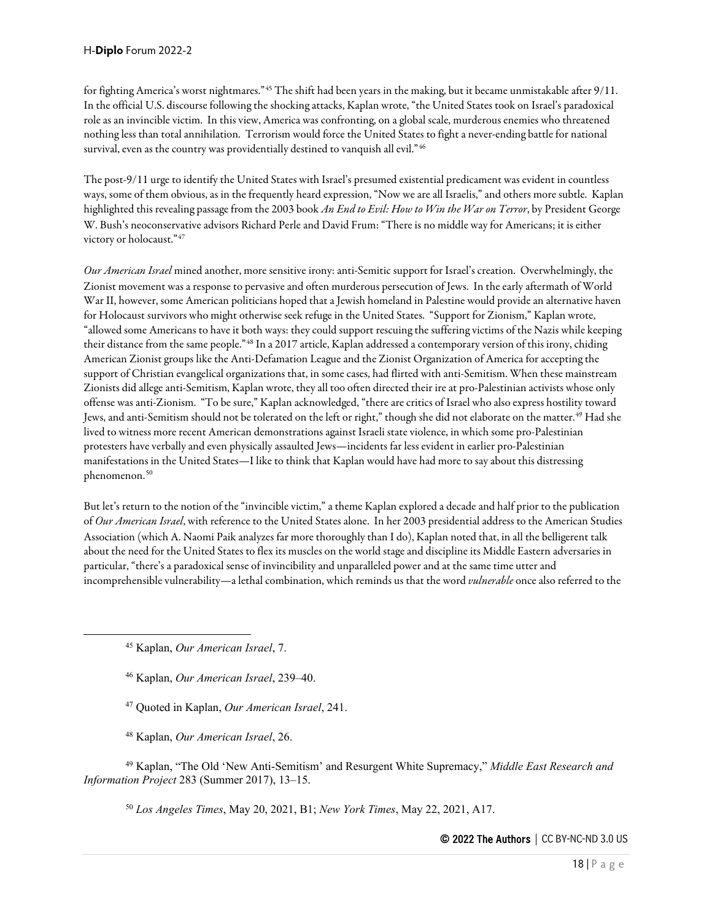for fighting America's worst nightmares."[45](#page-17-0) The shift had been years in the making, but it became unmistakable after 9/11. In the official U.S. discourse following the shocking attacks, Kaplan wrote, "the United States took on Israel's paradoxical role as an invincible victim. In this view, America was confronting, on a global scale, murderous enemies who threatened nothing less than total annihilation. Terrorism would force the United States to fight a never-ending battle for national survival, even as the country was providentially destined to vanquish all evil."[46](#page-17-1)

The post-9/11 urge to identify the United States with Israel's presumed existential predicament was evident in countless ways, some of them obvious, as in the frequently heard expression, "Now we are all Israelis," and others more subtle. Kaplan highlighted this revealing passage from the 2003 book *An End to Evil: How to Win the War on Terror*, by President George W. Bush's neoconservative advisors Richard Perle and David Frum: "There is no middle way for Americans; it is either victory or holocaust."[47](#page-17-2)

*Our American Israel* mined another, more sensitive irony: anti-Semitic support for Israel's creation. Overwhelmingly, the Zionist movement was a response to pervasive and often murderous persecution of Jews. In the early aftermath of World War II, however, some American politicians hoped that a Jewish homeland in Palestine would provide an alternative haven for Holocaust survivors who might otherwise seek refuge in the United States. "Support for Zionism," Kaplan wrote, "allowed some Americans to have it both ways: they could support rescuing the suffering victims of the Nazis while keeping their distance from the same people."[48](#page-17-3) In a 2017 article, Kaplan addressed a contemporary version of this irony, chiding American Zionist groups like the Anti-Defamation League and the Zionist Organization of America for accepting the support of Christian evangelical organizations that, in some cases, had flirted with anti-Semitism. When these mainstream Zionists did allege anti-Semitism, Kaplan wrote, they all too often directed their ire at pro-Palestinian activists whose only offense was anti-Zionism. "To be sure," Kaplan acknowledged, "there are critics of Israel who also express hostility toward Jews, and anti-Semitism should not be tolerated on the left or right," though she did not elaborate on the matter. [49](#page-17-4) Had she lived to witness more recent American demonstrations against Israeli state violence, in which some pro-Palestinian protesters have verbally and even physically assaulted Jews—incidents far less evident in earlier pro-Palestinian manifestations in the United States—I like to think that Kaplan would have had more to say about this distressing phenomenon. [50](#page-17-5)

But let's return to the notion of the "invincible victim," a theme Kaplan explored a decade and half prior to the publication of *Our American Israel*, with reference to the United States alone. In her 2003 presidential address to the American Studies Association (which A. Naomi Paik analyzes far more thoroughly than I do), Kaplan noted that, in all the belligerent talk about the need for the United States to flex its muscles on the world stage and discipline its Middle Eastern adversaries in particular, "there's a paradoxical sense of invincibility and unparalleled power and at the same time utter and incomprehensible vulnerability—a lethal combination, which reminds us that the word *vulnerable* once also referred to the

<span id="page-17-0"></span><sup>45</sup> Kaplan, *Our American Israel*, 7.

<sup>46</sup> Kaplan, *Our American Israel*, 239–40.

<sup>47</sup> Quoted in Kaplan, *Our American Israel*, 241.

<sup>48</sup> Kaplan, *Our American Israel*, 26.

<span id="page-17-5"></span><span id="page-17-4"></span><span id="page-17-3"></span><span id="page-17-2"></span><span id="page-17-1"></span><sup>49</sup> Kaplan, "The Old 'New Anti-Semitism' and Resurgent White Supremacy," *Middle East Research and Information Project* 283 (Summer 2017), 13–15.

<sup>50</sup> *Los Angeles Times*, May 20, 2021, B1; *New York Times*, May 22, 2021, A17.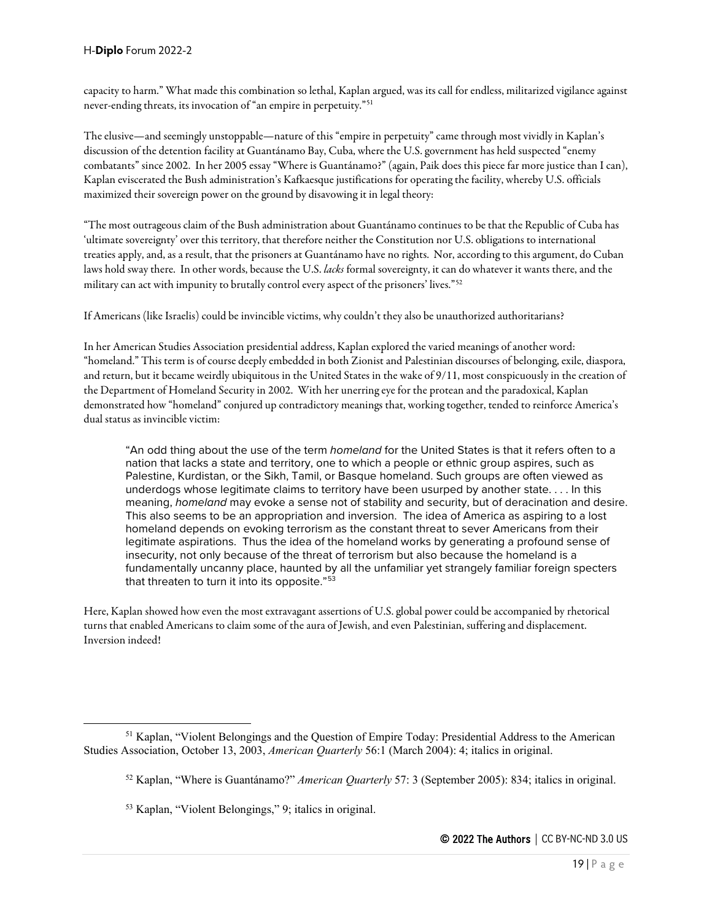capacity to harm." What made this combination so lethal, Kaplan argued, was its call for endless, militarized vigilance against never-ending threats, its invocation of "an empire in perpetuity."[51](#page-18-0)

The elusive—and seemingly unstoppable—nature of this "empire in perpetuity" came through most vividly in Kaplan's discussion of the detention facility at Guantánamo Bay, Cuba, where the U.S. government has held suspected "enemy combatants" since 2002. In her 2005 essay "Where is Guantánamo?" (again, Paik does this piece far more justice than I can), Kaplan eviscerated the Bush administration's Kafkaesque justifications for operating the facility, whereby U.S. officials maximized their sovereign power on the ground by disavowing it in legal theory:

"The most outrageous claim of the Bush administration about Guantánamo continues to be that the Republic of Cuba has 'ultimate sovereignty' over this territory, that therefore neither the Constitution nor U.S. obligations to international treaties apply, and, as a result, that the prisoners at Guantánamo have no rights. Nor, according to this argument, do Cuban laws hold sway there. In other words, because the U.S. *lacks* formal sovereignty, it can do whatever it wants there, and the military can act with impunity to brutally control every aspect of the prisoners' lives."[52](#page-18-1)

If Americans (like Israelis) could be invincible victims, why couldn't they also be unauthorized authoritarians?

In her American Studies Association presidential address, Kaplan explored the varied meanings of another word: "homeland." This term is of course deeply embedded in both Zionist and Palestinian discourses of belonging, exile, diaspora, and return, but it became weirdly ubiquitous in the United States in the wake of 9/11, most conspicuously in the creation of the Department of Homeland Security in 2002. With her unerring eye for the protean and the paradoxical, Kaplan demonstrated how "homeland" conjured up contradictory meanings that, working together, tended to reinforce America's dual status as invincible victim:

"An odd thing about the use of the term *homeland* for the United States is that it refers often to a nation that lacks a state and territory, one to which a people or ethnic group aspires, such as Palestine, Kurdistan, or the Sikh, Tamil, or Basque homeland. Such groups are often viewed as underdogs whose legitimate claims to territory have been usurped by another state. . . . In this meaning, *homeland* may evoke a sense not of stability and security, but of deracination and desire. This also seems to be an appropriation and inversion. The idea of America as aspiring to a lost homeland depends on evoking terrorism as the constant threat to sever Americans from their legitimate aspirations. Thus the idea of the homeland works by generating a profound sense of insecurity, not only because of the threat of terrorism but also because the homeland is a fundamentally uncanny place, haunted by all the unfamiliar yet strangely familiar foreign specters that threaten to turn it into its opposite."<sup>[53](#page-18-2)</sup>

Here, Kaplan showed how even the most extravagant assertions of U.S. global power could be accompanied by rhetorical turns that enabled Americans to claim some of the aura of Jewish, and even Palestinian, suffering and displacement. Inversion indeed!

<span id="page-18-2"></span><span id="page-18-1"></span><span id="page-18-0"></span><sup>&</sup>lt;sup>51</sup> Kaplan, "Violent Belongings and the Question of Empire Today: Presidential Address to the American Studies Association, October 13, 2003, *American Quarterly* 56:1 (March 2004): 4; italics in original.

<sup>52</sup> Kaplan, "Where is Guantánamo?" *American Quarterly* 57: 3 (September 2005): 834; italics in original.

<sup>53</sup> Kaplan, "Violent Belongings," 9; italics in original.